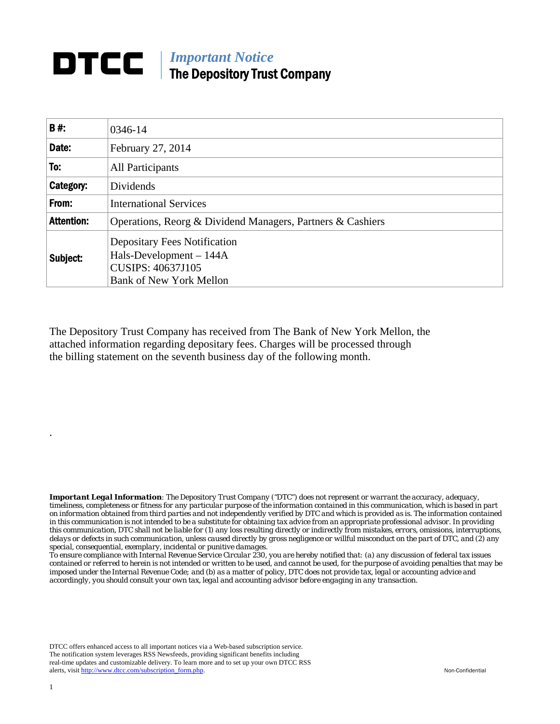## **DTCC** | *Important Notice* The Depository Trust Company

| B#:               | 0346-14                                                                                                                      |
|-------------------|------------------------------------------------------------------------------------------------------------------------------|
| Date:             | February 27, 2014                                                                                                            |
| To:               | All Participants                                                                                                             |
| Category:         | Dividends                                                                                                                    |
| From:             | <b>International Services</b>                                                                                                |
| <b>Attention:</b> | Operations, Reorg & Dividend Managers, Partners & Cashiers                                                                   |
| Subject:          | <b>Depositary Fees Notification</b><br>Hals-Development - 144A<br><b>CUSIPS: 40637J105</b><br><b>Bank of New York Mellon</b> |

The Depository Trust Company has received from The Bank of New York Mellon, the attached information regarding depositary fees. Charges will be processed through the billing statement on the seventh business day of the following month.

*Important Legal Information: The Depository Trust Company ("DTC") does not represent or warrant the accuracy, adequacy, timeliness, completeness or fitness for any particular purpose of the information contained in this communication, which is based in part on information obtained from third parties and not independently verified by DTC and which is provided as is. The information contained in this communication is not intended to be a substitute for obtaining tax advice from an appropriate professional advisor. In providing this communication, DTC shall not be liable for (1) any loss resulting directly or indirectly from mistakes, errors, omissions, interruptions, delays or defects in such communication, unless caused directly by gross negligence or willful misconduct on the part of DTC, and (2) any special, consequential, exemplary, incidental or punitive damages.* 

*To ensure compliance with Internal Revenue Service Circular 230, you are hereby notified that: (a) any discussion of federal tax issues contained or referred to herein is not intended or written to be used, and cannot be used, for the purpose of avoiding penalties that may be imposed under the Internal Revenue Code; and (b) as a matter of policy, DTC does not provide tax, legal or accounting advice and accordingly, you should consult your own tax, legal and accounting advisor before engaging in any transaction.*

DTCC offers enhanced access to all important notices via a Web-based subscription service. The notification system leverages RSS Newsfeeds, providing significant benefits including real-time updates and customizable delivery. To learn more and to set up your own DTCC RSS alerts, visit http://www.dtcc.com/subscription\_form.php. Non-Confidential

.